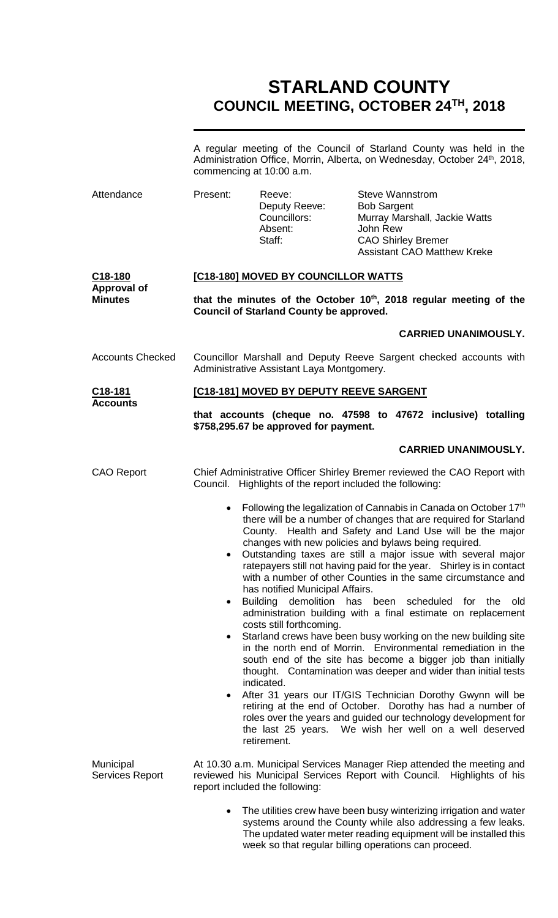# **STARLAND COUNTY COUNCIL MEETING, OCTOBER 24TH, 2018**

|                                                 | A regular meeting of the Council of Starland County was held in the<br>Administration Office, Morrin, Alberta, on Wednesday, October 24th, 2018,<br>commencing at 10:00 a.m.                                                                                                                                                                                                                                                                                                                                                                                                                                                                                                                                                                                                                                                                                                                                                                                                                                                                                                                                                                                                                                                                                          |                                                                                                                                                                                    |                                                                                                                                                              |                             |
|-------------------------------------------------|-----------------------------------------------------------------------------------------------------------------------------------------------------------------------------------------------------------------------------------------------------------------------------------------------------------------------------------------------------------------------------------------------------------------------------------------------------------------------------------------------------------------------------------------------------------------------------------------------------------------------------------------------------------------------------------------------------------------------------------------------------------------------------------------------------------------------------------------------------------------------------------------------------------------------------------------------------------------------------------------------------------------------------------------------------------------------------------------------------------------------------------------------------------------------------------------------------------------------------------------------------------------------|------------------------------------------------------------------------------------------------------------------------------------------------------------------------------------|--------------------------------------------------------------------------------------------------------------------------------------------------------------|-----------------------------|
| Attendance                                      | Present:                                                                                                                                                                                                                                                                                                                                                                                                                                                                                                                                                                                                                                                                                                                                                                                                                                                                                                                                                                                                                                                                                                                                                                                                                                                              | Reeve:<br>Deputy Reeve:<br>Councillors:<br>Absent:<br>Staff:                                                                                                                       | <b>Steve Wannstrom</b><br><b>Bob Sargent</b><br>Murray Marshall, Jackie Watts<br>John Rew<br><b>CAO Shirley Bremer</b><br><b>Assistant CAO Matthew Kreke</b> |                             |
| C18-180<br><b>Approval of</b><br><b>Minutes</b> | [C18-180] MOVED BY COUNCILLOR WATTS                                                                                                                                                                                                                                                                                                                                                                                                                                                                                                                                                                                                                                                                                                                                                                                                                                                                                                                                                                                                                                                                                                                                                                                                                                   |                                                                                                                                                                                    |                                                                                                                                                              |                             |
|                                                 | that the minutes of the October 10 <sup>th</sup> , 2018 regular meeting of the<br><b>Council of Starland County be approved.</b>                                                                                                                                                                                                                                                                                                                                                                                                                                                                                                                                                                                                                                                                                                                                                                                                                                                                                                                                                                                                                                                                                                                                      |                                                                                                                                                                                    |                                                                                                                                                              |                             |
|                                                 |                                                                                                                                                                                                                                                                                                                                                                                                                                                                                                                                                                                                                                                                                                                                                                                                                                                                                                                                                                                                                                                                                                                                                                                                                                                                       |                                                                                                                                                                                    |                                                                                                                                                              | <b>CARRIED UNANIMOUSLY.</b> |
| <b>Accounts Checked</b>                         | Councillor Marshall and Deputy Reeve Sargent checked accounts with<br>Administrative Assistant Laya Montgomery.                                                                                                                                                                                                                                                                                                                                                                                                                                                                                                                                                                                                                                                                                                                                                                                                                                                                                                                                                                                                                                                                                                                                                       |                                                                                                                                                                                    |                                                                                                                                                              |                             |
| C <sub>18</sub> -181                            |                                                                                                                                                                                                                                                                                                                                                                                                                                                                                                                                                                                                                                                                                                                                                                                                                                                                                                                                                                                                                                                                                                                                                                                                                                                                       | [C18-181] MOVED BY DEPUTY REEVE SARGENT                                                                                                                                            |                                                                                                                                                              |                             |
| <b>Accounts</b>                                 |                                                                                                                                                                                                                                                                                                                                                                                                                                                                                                                                                                                                                                                                                                                                                                                                                                                                                                                                                                                                                                                                                                                                                                                                                                                                       | that accounts (cheque no. 47598 to 47672 inclusive) totalling<br>\$758,295.67 be approved for payment.                                                                             |                                                                                                                                                              |                             |
|                                                 |                                                                                                                                                                                                                                                                                                                                                                                                                                                                                                                                                                                                                                                                                                                                                                                                                                                                                                                                                                                                                                                                                                                                                                                                                                                                       |                                                                                                                                                                                    |                                                                                                                                                              | <b>CARRIED UNANIMOUSLY.</b> |
| <b>CAO Report</b>                               | Chief Administrative Officer Shirley Bremer reviewed the CAO Report with<br>Council. Highlights of the report included the following:                                                                                                                                                                                                                                                                                                                                                                                                                                                                                                                                                                                                                                                                                                                                                                                                                                                                                                                                                                                                                                                                                                                                 |                                                                                                                                                                                    |                                                                                                                                                              |                             |
|                                                 | Following the legalization of Cannabis in Canada on October 17th<br>$\bullet$<br>there will be a number of changes that are required for Starland<br>County. Health and Safety and Land Use will be the major<br>changes with new policies and bylaws being required.<br>Outstanding taxes are still a major issue with several major<br>ratepayers still not having paid for the year. Shirley is in contact<br>with a number of other Counties in the same circumstance and<br>has notified Municipal Affairs.<br>Building demolition<br>has<br>been scheduled<br>for<br>the<br>old<br>$\bullet$<br>administration building with a final estimate on replacement<br>costs still forthcoming.<br>Starland crews have been busy working on the new building site<br>in the north end of Morrin. Environmental remediation in the<br>south end of the site has become a bigger job than initially<br>thought. Contamination was deeper and wider than initial tests<br>indicated.<br>After 31 years our IT/GIS Technician Dorothy Gwynn will be<br>$\bullet$<br>retiring at the end of October. Dorothy has had a number of<br>roles over the years and guided our technology development for<br>the last 25 years. We wish her well on a well deserved<br>retirement. |                                                                                                                                                                                    |                                                                                                                                                              |                             |
| Municipal<br><b>Services Report</b>             |                                                                                                                                                                                                                                                                                                                                                                                                                                                                                                                                                                                                                                                                                                                                                                                                                                                                                                                                                                                                                                                                                                                                                                                                                                                                       | At 10.30 a.m. Municipal Services Manager Riep attended the meeting and<br>reviewed his Municipal Services Report with Council. Highlights of his<br>report included the following: |                                                                                                                                                              |                             |
|                                                 |                                                                                                                                                                                                                                                                                                                                                                                                                                                                                                                                                                                                                                                                                                                                                                                                                                                                                                                                                                                                                                                                                                                                                                                                                                                                       | • The utilities crew have been busy winterizing irrigation and water                                                                                                               |                                                                                                                                                              |                             |

 The utilities crew have been busy winterizing irrigation and water systems around the County while also addressing a few leaks. The updated water meter reading equipment will be installed this week so that regular billing operations can proceed.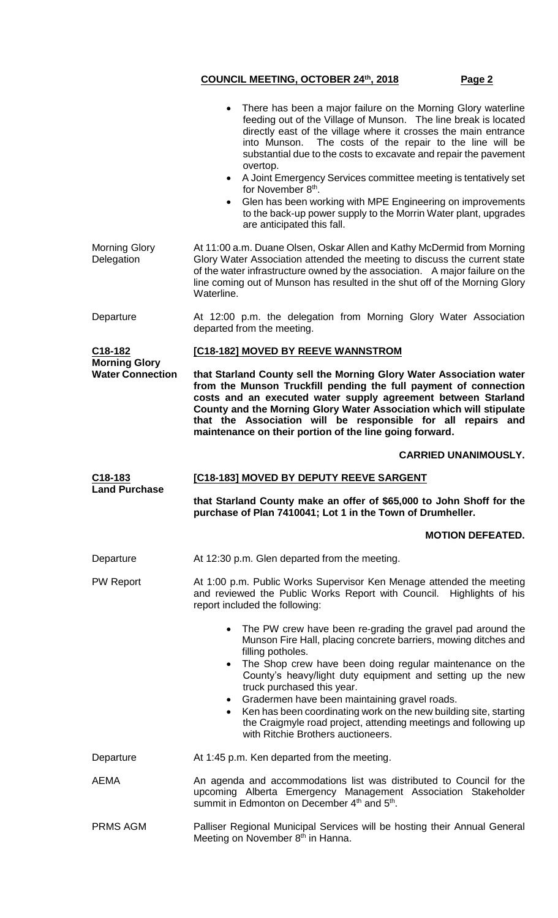There has been a major failure on the Morning Glory waterline feeding out of the Village of Munson. The line break is located directly east of the village where it crosses the main entrance into Munson. The costs of the repair to the line will be substantial due to the costs to excavate and repair the pavement overtop. A Joint Emergency Services committee meeting is tentatively set for November 8<sup>th</sup>. Glen has been working with MPE Engineering on improvements to the back-up power supply to the Morrin Water plant, upgrades are anticipated this fall. Morning Glory **Delegation** At 11:00 a.m. Duane Olsen, Oskar Allen and Kathy McDermid from Morning Glory Water Association attended the meeting to discuss the current state of the water infrastructure owned by the association. A major failure on the line coming out of Munson has resulted in the shut off of the Morning Glory Waterline. Departure At 12:00 p.m. the delegation from Morning Glory Water Association departed from the meeting. **C18-182 Morning Glory Water Connection [C18-182] MOVED BY REEVE WANNSTROM that Starland County sell the Morning Glory Water Association water from the Munson Truckfill pending the full payment of connection costs and an executed water supply agreement between Starland County and the Morning Glory Water Association which will stipulate that the Association will be responsible for all repairs and maintenance on their portion of the line going forward. CARRIED UNANIMOUSLY. C18-183 Land Purchase [C18-183] MOVED BY DEPUTY REEVE SARGENT that Starland County make an offer of \$65,000 to John Shoff for the purchase of Plan 7410041; Lot 1 in the Town of Drumheller. MOTION DEFEATED.** Departure At 12:30 p.m. Glen departed from the meeting. PW Report **At 1:00 p.m. Public Works Supervisor Ken Menage attended the meeting** and reviewed the Public Works Report with Council. Highlights of his report included the following: The PW crew have been re-grading the gravel pad around the Munson Fire Hall, placing concrete barriers, mowing ditches and filling potholes. The Shop crew have been doing regular maintenance on the County's heavy/light duty equipment and setting up the new truck purchased this year. Gradermen have been maintaining gravel roads. Ken has been coordinating work on the new building site, starting the Craigmyle road project, attending meetings and following up with Ritchie Brothers auctioneers. Departure **At 1:45 p.m. Ken departed from the meeting.** AEMA An agenda and accommodations list was distributed to Council for the upcoming Alberta Emergency Management Association Stakeholder summit in Edmonton on December 4<sup>th</sup> and 5<sup>th</sup>. PRMS AGM Palliser Regional Municipal Services will be hosting their Annual General Meeting on November 8<sup>th</sup> in Hanna.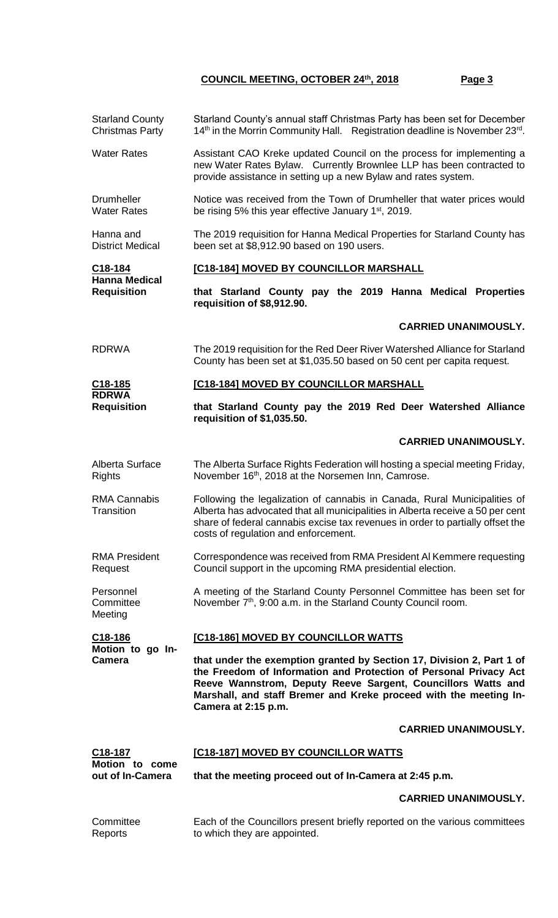|                                                            | <b>Starland County</b><br><b>Christmas Party</b>                                                                                                                                                                                                                                                       | Starland County's annual staff Christmas Party has been set for December<br>14 <sup>th</sup> in the Morrin Community Hall. Registration deadline is November 23 <sup>rd</sup> .                                                                                                       |  |  |
|------------------------------------------------------------|--------------------------------------------------------------------------------------------------------------------------------------------------------------------------------------------------------------------------------------------------------------------------------------------------------|---------------------------------------------------------------------------------------------------------------------------------------------------------------------------------------------------------------------------------------------------------------------------------------|--|--|
| <b>Water Rates</b>                                         |                                                                                                                                                                                                                                                                                                        | Assistant CAO Kreke updated Council on the process for implementing a<br>new Water Rates Bylaw. Currently Brownlee LLP has been contracted to<br>provide assistance in setting up a new Bylaw and rates system.                                                                       |  |  |
| <b>Drumheller</b><br><b>Water Rates</b>                    |                                                                                                                                                                                                                                                                                                        | Notice was received from the Town of Drumheller that water prices would<br>be rising 5% this year effective January 1 <sup>st</sup> , 2019.                                                                                                                                           |  |  |
| Hanna and<br><b>District Medical</b>                       |                                                                                                                                                                                                                                                                                                        | The 2019 requisition for Hanna Medical Properties for Starland County has<br>been set at \$8,912.90 based on 190 users.                                                                                                                                                               |  |  |
| C18-184<br><b>Hanna Medical</b><br><b>Requisition</b>      | [C18-184] MOVED BY COUNCILLOR MARSHALL                                                                                                                                                                                                                                                                 |                                                                                                                                                                                                                                                                                       |  |  |
|                                                            | that Starland County pay the 2019 Hanna Medical Properties<br>requisition of \$8,912.90.                                                                                                                                                                                                               |                                                                                                                                                                                                                                                                                       |  |  |
|                                                            |                                                                                                                                                                                                                                                                                                        | <b>CARRIED UNANIMOUSLY.</b>                                                                                                                                                                                                                                                           |  |  |
| <b>RDRWA</b>                                               |                                                                                                                                                                                                                                                                                                        | The 2019 requisition for the Red Deer River Watershed Alliance for Starland<br>County has been set at \$1,035.50 based on 50 cent per capita request.                                                                                                                                 |  |  |
| <u>C18-185</u>                                             |                                                                                                                                                                                                                                                                                                        | [C18-184] MOVED BY COUNCILLOR MARSHALL                                                                                                                                                                                                                                                |  |  |
| <b>RDRWA</b><br><b>Requisition</b>                         |                                                                                                                                                                                                                                                                                                        | that Starland County pay the 2019 Red Deer Watershed Alliance<br>requisition of \$1,035.50.                                                                                                                                                                                           |  |  |
|                                                            |                                                                                                                                                                                                                                                                                                        | <b>CARRIED UNANIMOUSLY.</b>                                                                                                                                                                                                                                                           |  |  |
| Alberta Surface<br><b>Rights</b>                           |                                                                                                                                                                                                                                                                                                        | The Alberta Surface Rights Federation will hosting a special meeting Friday,<br>November 16 <sup>th</sup> , 2018 at the Norsemen Inn, Camrose.                                                                                                                                        |  |  |
| <b>RMA Cannabis</b><br>Transition                          |                                                                                                                                                                                                                                                                                                        | Following the legalization of cannabis in Canada, Rural Municipalities of<br>Alberta has advocated that all municipalities in Alberta receive a 50 per cent<br>share of federal cannabis excise tax revenues in order to partially offset the<br>costs of regulation and enforcement. |  |  |
| <b>RMA President</b><br>Request                            |                                                                                                                                                                                                                                                                                                        | Correspondence was received from RMA President AI Kemmere requesting<br>Council support in the upcoming RMA presidential election.                                                                                                                                                    |  |  |
| Personnel<br>Committee<br>Meeting                          |                                                                                                                                                                                                                                                                                                        | A meeting of the Starland County Personnel Committee has been set for<br>November 7 <sup>th</sup> , 9:00 a.m. in the Starland County Council room.                                                                                                                                    |  |  |
| C18-186<br>Motion to go In-<br><b>Camera</b>               |                                                                                                                                                                                                                                                                                                        | [C18-186] MOVED BY COUNCILLOR WATTS                                                                                                                                                                                                                                                   |  |  |
|                                                            | that under the exemption granted by Section 17, Division 2, Part 1 of<br>the Freedom of Information and Protection of Personal Privacy Act<br>Reeve Wannstrom, Deputy Reeve Sargent, Councillors Watts and<br>Marshall, and staff Bremer and Kreke proceed with the meeting In-<br>Camera at 2:15 p.m. |                                                                                                                                                                                                                                                                                       |  |  |
|                                                            |                                                                                                                                                                                                                                                                                                        | <b>CARRIED UNANIMOUSLY.</b>                                                                                                                                                                                                                                                           |  |  |
| C <sub>18</sub> -187<br>Motion to come<br>out of In-Camera | <b>[C18-187] MOVED BY COUNCILLOR WATTS</b>                                                                                                                                                                                                                                                             |                                                                                                                                                                                                                                                                                       |  |  |
|                                                            | that the meeting proceed out of In-Camera at 2:45 p.m.                                                                                                                                                                                                                                                 |                                                                                                                                                                                                                                                                                       |  |  |
|                                                            |                                                                                                                                                                                                                                                                                                        | <b>CARRIED UNANIMOUSLY.</b>                                                                                                                                                                                                                                                           |  |  |
| Committee<br>Reports                                       |                                                                                                                                                                                                                                                                                                        | Each of the Councillors present briefly reported on the various committees<br>to which they are appointed.                                                                                                                                                                            |  |  |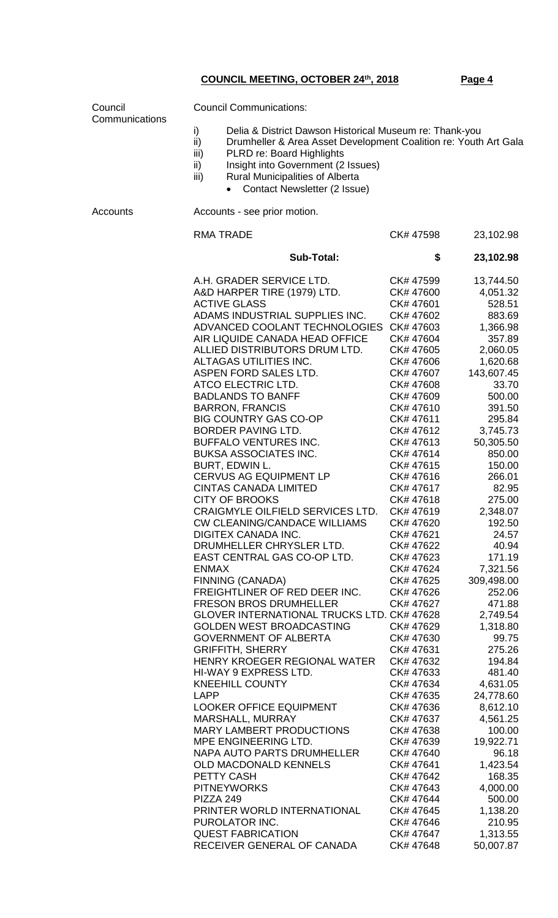| Council<br>Communications | <b>Council Communications:</b>                                                                                                                                                                                                                                                                                    |                        |                      |  |  |
|---------------------------|-------------------------------------------------------------------------------------------------------------------------------------------------------------------------------------------------------------------------------------------------------------------------------------------------------------------|------------------------|----------------------|--|--|
|                           | i)<br>Delia & District Dawson Historical Museum re: Thank-you<br>$\overline{ii}$<br>Drumheller & Area Asset Development Coalition re: Youth Art Gala<br>iii)<br>PLRD re: Board Highlights<br>ii)<br>Insight into Government (2 Issues)<br>iii)<br>Rural Municipalities of Alberta<br>Contact Newsletter (2 Issue) |                        |                      |  |  |
| <b>Accounts</b>           | Accounts - see prior motion.                                                                                                                                                                                                                                                                                      |                        |                      |  |  |
|                           | <b>RMA TRADE</b>                                                                                                                                                                                                                                                                                                  | CK# 47598              | 23,102.98            |  |  |
|                           | <b>Sub-Total:</b>                                                                                                                                                                                                                                                                                                 | \$                     | 23,102.98            |  |  |
|                           | A.H. GRADER SERVICE LTD.                                                                                                                                                                                                                                                                                          | CK# 47599              | 13,744.50            |  |  |
|                           | A&D HARPER TIRE (1979) LTD.                                                                                                                                                                                                                                                                                       | CK# 47600              | 4,051.32             |  |  |
|                           | <b>ACTIVE GLASS</b>                                                                                                                                                                                                                                                                                               | CK# 47601              | 528.51               |  |  |
|                           | ADAMS INDUSTRIAL SUPPLIES INC.                                                                                                                                                                                                                                                                                    | CK# 47602              | 883.69               |  |  |
|                           | ADVANCED COOLANT TECHNOLOGIES                                                                                                                                                                                                                                                                                     | CK# 47603              | 1,366.98             |  |  |
|                           | AIR LIQUIDE CANADA HEAD OFFICE                                                                                                                                                                                                                                                                                    | CK# 47604              | 357.89               |  |  |
|                           | ALLIED DISTRIBUTORS DRUM LTD.                                                                                                                                                                                                                                                                                     | CK# 47605              | 2,060.05             |  |  |
|                           | ALTAGAS UTILITIES INC.                                                                                                                                                                                                                                                                                            | CK# 47606              | 1,620.68             |  |  |
|                           | ASPEN FORD SALES LTD.                                                                                                                                                                                                                                                                                             | CK# 47607              | 143,607.45           |  |  |
|                           | ATCO ELECTRIC LTD.<br><b>BADLANDS TO BANFF</b>                                                                                                                                                                                                                                                                    | CK# 47608<br>CK# 47609 | 33.70<br>500.00      |  |  |
|                           | <b>BARRON, FRANCIS</b>                                                                                                                                                                                                                                                                                            | CK# 47610              | 391.50               |  |  |
|                           | <b>BIG COUNTRY GAS CO-OP</b>                                                                                                                                                                                                                                                                                      | CK# 47611              | 295.84               |  |  |
|                           | BORDER PAVING LTD.                                                                                                                                                                                                                                                                                                | CK# 47612              | 3,745.73             |  |  |
|                           | <b>BUFFALO VENTURES INC.</b>                                                                                                                                                                                                                                                                                      | CK# 47613              | 50,305.50            |  |  |
|                           | <b>BUKSA ASSOCIATES INC.</b>                                                                                                                                                                                                                                                                                      | CK# 47614              | 850.00               |  |  |
|                           | BURT, EDWIN L.                                                                                                                                                                                                                                                                                                    | CK# 47615              | 150.00               |  |  |
|                           | <b>CERVUS AG EQUIPMENT LP</b>                                                                                                                                                                                                                                                                                     | CK# 47616              | 266.01               |  |  |
|                           | <b>CINTAS CANADA LIMITED</b>                                                                                                                                                                                                                                                                                      | CK# 47617              | 82.95                |  |  |
|                           | <b>CITY OF BROOKS</b>                                                                                                                                                                                                                                                                                             | CK# 47618              | 275.00               |  |  |
|                           | CRAIGMYLE OILFIELD SERVICES LTD.                                                                                                                                                                                                                                                                                  | CK# 47619              | 2,348.07             |  |  |
|                           | <b>CW CLEANING/CANDACE WILLIAMS</b>                                                                                                                                                                                                                                                                               | CK# 47620              | 192.50               |  |  |
|                           | DIGITEX CANADA INC.                                                                                                                                                                                                                                                                                               | CK# 47621              | 24.57                |  |  |
|                           | DRUMHELLER CHRYSLER LTD.                                                                                                                                                                                                                                                                                          | CK# 47622              | 40.94                |  |  |
|                           | EAST CENTRAL GAS CO-OP LTD.                                                                                                                                                                                                                                                                                       | CK# 47623              | 171.19               |  |  |
|                           | <b>ENMAX</b>                                                                                                                                                                                                                                                                                                      | CK# 47624              | 7,321.56             |  |  |
|                           | FINNING (CANADA)<br>FREIGHTLINER OF RED DEER INC.                                                                                                                                                                                                                                                                 | CK# 47625<br>CK# 47626 | 309,498.00<br>252.06 |  |  |
|                           | <b>FRESON BROS DRUMHELLER</b>                                                                                                                                                                                                                                                                                     | CK# 47627              | 471.88               |  |  |
|                           | GLOVER INTERNATIONAL TRUCKS LTD. CK# 47628                                                                                                                                                                                                                                                                        |                        | 2,749.54             |  |  |
|                           | <b>GOLDEN WEST BROADCASTING</b>                                                                                                                                                                                                                                                                                   | CK# 47629              | 1,318.80             |  |  |
|                           | <b>GOVERNMENT OF ALBERTA</b>                                                                                                                                                                                                                                                                                      | CK# 47630              | 99.75                |  |  |
|                           | <b>GRIFFITH, SHERRY</b>                                                                                                                                                                                                                                                                                           | CK# 47631              | 275.26               |  |  |
|                           | HENRY KROEGER REGIONAL WATER                                                                                                                                                                                                                                                                                      | CK# 47632              | 194.84               |  |  |
|                           | HI-WAY 9 EXPRESS LTD.                                                                                                                                                                                                                                                                                             | CK# 47633              | 481.40               |  |  |
|                           | <b>KNEEHILL COUNTY</b>                                                                                                                                                                                                                                                                                            | CK# 47634              | 4,631.05             |  |  |
|                           | LAPP                                                                                                                                                                                                                                                                                                              | CK# 47635              | 24,778.60            |  |  |
|                           | <b>LOOKER OFFICE EQUIPMENT</b>                                                                                                                                                                                                                                                                                    | CK# 47636              | 8,612.10             |  |  |
|                           | MARSHALL, MURRAY                                                                                                                                                                                                                                                                                                  | CK# 47637              | 4,561.25             |  |  |
|                           | <b>MARY LAMBERT PRODUCTIONS</b>                                                                                                                                                                                                                                                                                   | CK# 47638              | 100.00               |  |  |
|                           | MPE ENGINEERING LTD.                                                                                                                                                                                                                                                                                              | CK# 47639              | 19,922.71            |  |  |
|                           | NAPA AUTO PARTS DRUMHELLER                                                                                                                                                                                                                                                                                        | CK# 47640              | 96.18                |  |  |
|                           | <b>OLD MACDONALD KENNELS</b>                                                                                                                                                                                                                                                                                      | CK# 47641              | 1,423.54             |  |  |
|                           | PETTY CASH<br><b>PITNEYWORKS</b>                                                                                                                                                                                                                                                                                  | CK# 47642              | 168.35               |  |  |
|                           | PIZZA 249                                                                                                                                                                                                                                                                                                         | CK# 47643<br>CK# 47644 | 4,000.00<br>500.00   |  |  |
|                           | PRINTER WORLD INTERNATIONAL                                                                                                                                                                                                                                                                                       | CK# 47645              | 1,138.20             |  |  |
|                           | PUROLATOR INC.                                                                                                                                                                                                                                                                                                    | CK# 47646              | 210.95               |  |  |
|                           | <b>QUEST FABRICATION</b>                                                                                                                                                                                                                                                                                          | CK# 47647              | 1,313.55             |  |  |
|                           | RECEIVER GENERAL OF CANADA                                                                                                                                                                                                                                                                                        | CK# 47648              | 50,007.87            |  |  |